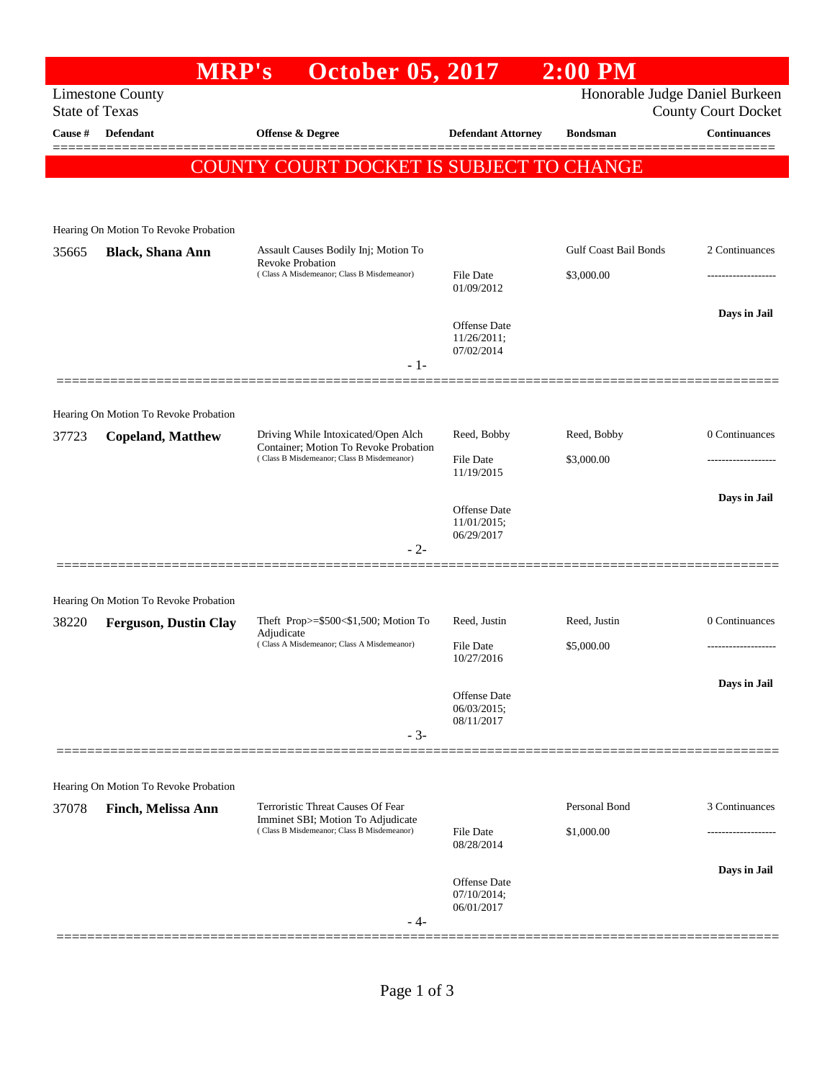## **MRP's October 05, 2017 2:00 PM** Limestone County Honorable Judge Daniel Burkeen State of Texas County Court Docket **Cause # Defendant Offense & Degree Defendant Attorney Bondsman Continuances** ============================================================================================== COUNTY COURT DOCKET IS SUBJECT TO CHANGE Hearing On Motion To Revoke Probation 35665 **Black, Shana Ann** Assault Causes Bodily Inj; Motion To Revoke Probation Gulf Coast Bail Bonds 2 Continuances ( Class A Misdemeanor; Class B Misdemeanor) File Date \$3,000.00 ------------------- 01/09/2012 **Days in Jail**  Offense Date 11/26/2011; 07/02/2014 - 1- ============================================================================================== Hearing On Motion To Revoke Probation 37723 **Copeland, Matthew** Driving While Intoxicated/Open Alch Container; Motion To Revoke Probation Reed, Bobby Reed, Bobby 0 Continuances ( Class B Misdemeanor; Class B Misdemeanor) File Date \$3,000.00 11/19/2015 **Days in Jail**  Offense Date 11/01/2015; 06/29/2017 - 2- ============================================================================================== Hearing On Motion To Revoke Probation 38220 **Ferguson, Dustin Clay** Theft Prop>=\$500<\$1,500; Motion To Adjudicate Reed, Justin Reed, Justin 0 Continuances ( Class A Misdemeanor; Class A Misdemeanor) File Date \$5,000.00 ------------------- 10/27/2016 **Days in Jail**  Offense Date 06/03/2015; 08/11/2017 - 3- ============================================================================================== Hearing On Motion To Revoke Probation 37078 **Finch, Melissa Ann** Terroristic Threat Causes Of Fear Imminet SBI; Motion To Adjudicate Personal Bond 3 Continuances ( Class B Misdemeanor; Class B Misdemeanor) File Date \$1,000.00 08/28/2014 **Days in Jail**  Offense Date 07/10/2014; 06/01/2017 - 4- ==============================================================================================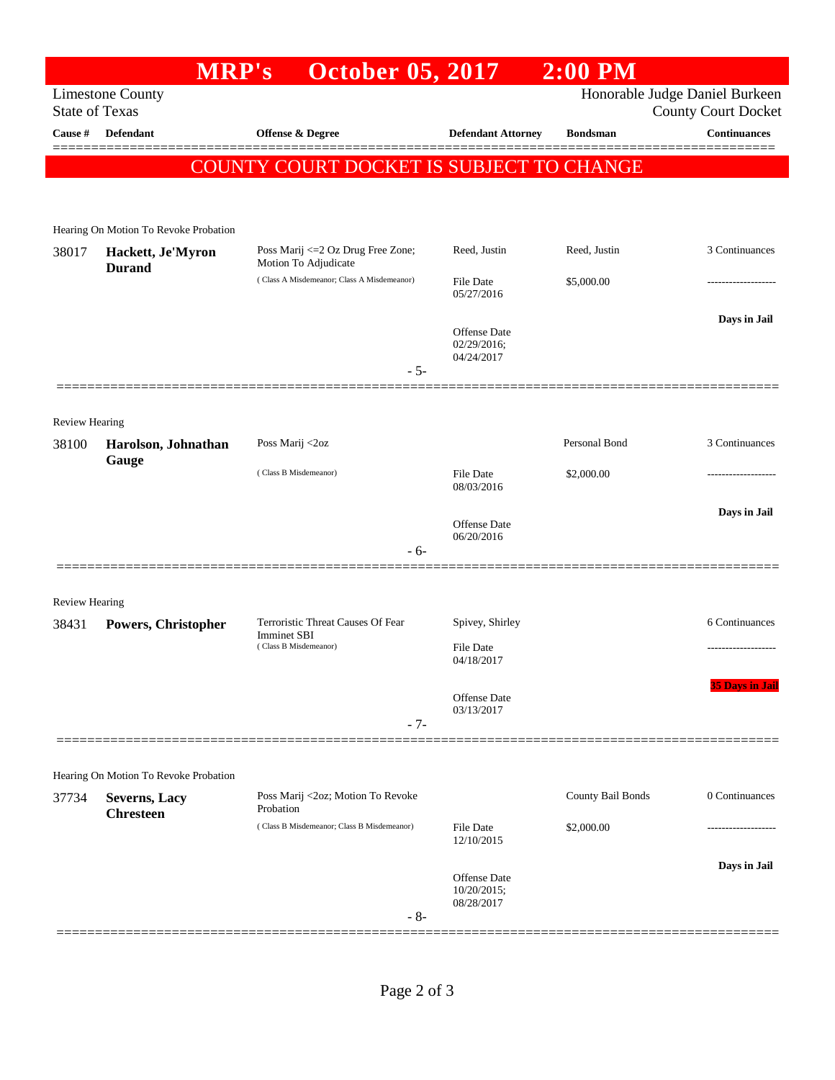|                       | <b>MRP's</b>                              | <b>October 05, 2017</b>                                                                                  |                                | $2:00$ PM         |                                                   |
|-----------------------|-------------------------------------------|----------------------------------------------------------------------------------------------------------|--------------------------------|-------------------|---------------------------------------------------|
|                       | <b>Limestone County</b>                   |                                                                                                          |                                |                   | Honorable Judge Daniel Burkeen                    |
| Cause #               | <b>State of Texas</b><br><b>Defendant</b> | <b>Offense &amp; Degree</b>                                                                              | <b>Defendant Attorney</b>      | <b>Bondsman</b>   | <b>County Court Docket</b><br><b>Continuances</b> |
|                       |                                           |                                                                                                          |                                |                   |                                                   |
|                       |                                           | COUNTY COURT DOCKET IS SUBJECT TO CHANGE                                                                 |                                |                   |                                                   |
|                       |                                           |                                                                                                          |                                |                   |                                                   |
|                       | Hearing On Motion To Revoke Probation     |                                                                                                          |                                |                   |                                                   |
| 38017                 | Hackett, Je'Myron<br><b>Durand</b>        | Poss Marij <= 2 Oz Drug Free Zone;<br>Motion To Adjudicate<br>(Class A Misdemeanor; Class A Misdemeanor) | Reed, Justin                   | Reed, Justin      | 3 Continuances                                    |
|                       |                                           |                                                                                                          | File Date                      | \$5,000.00        |                                                   |
|                       |                                           |                                                                                                          | 05/27/2016                     |                   |                                                   |
|                       |                                           |                                                                                                          | <b>Offense Date</b>            |                   | Days in Jail                                      |
|                       |                                           |                                                                                                          | 02/29/2016;                    |                   |                                                   |
|                       |                                           | $-5-$                                                                                                    | 04/24/2017                     |                   |                                                   |
|                       |                                           |                                                                                                          |                                |                   |                                                   |
| <b>Review Hearing</b> |                                           |                                                                                                          |                                |                   |                                                   |
| 38100                 | Harolson, Johnathan                       | Poss Marij <2oz                                                                                          |                                | Personal Bond     | 3 Continuances                                    |
|                       | Gauge                                     | (Class B Misdemeanor)                                                                                    | <b>File Date</b>               | \$2,000.00        |                                                   |
|                       |                                           |                                                                                                          | 08/03/2016                     |                   |                                                   |
|                       |                                           |                                                                                                          | Offense Date                   |                   | Days in Jail                                      |
|                       |                                           | $-6-$                                                                                                    | 06/20/2016                     |                   |                                                   |
|                       |                                           |                                                                                                          |                                |                   |                                                   |
| <b>Review Hearing</b> |                                           |                                                                                                          |                                |                   |                                                   |
| 38431                 | Powers, Christopher                       | Terroristic Threat Causes Of Fear                                                                        | Spivey, Shirley                |                   | 6 Continuances                                    |
|                       |                                           | <b>Imminet SBI</b><br>(Class B Misdemeanor)                                                              | File Date                      |                   |                                                   |
|                       |                                           |                                                                                                          | 04/18/2017                     |                   |                                                   |
|                       |                                           |                                                                                                          | Offense Date                   |                   | <b>35 Davs in Jail</b>                            |
|                       |                                           | $-7-$                                                                                                    | 03/13/2017                     |                   |                                                   |
|                       |                                           |                                                                                                          |                                |                   |                                                   |
|                       | Hearing On Motion To Revoke Probation     |                                                                                                          |                                |                   |                                                   |
| 37734                 | Severns, Lacy                             | Poss Marij <2oz; Motion To Revoke                                                                        |                                | County Bail Bonds | 0 Continuances                                    |
|                       | <b>Chresteen</b>                          | Probation<br>(Class B Misdemeanor; Class B Misdemeanor)                                                  |                                |                   |                                                   |
|                       |                                           |                                                                                                          | <b>File Date</b><br>12/10/2015 | \$2,000.00        |                                                   |
|                       |                                           |                                                                                                          |                                |                   | Days in Jail                                      |
|                       |                                           |                                                                                                          | Offense Date<br>10/20/2015;    |                   |                                                   |
|                       |                                           | $-8-$                                                                                                    | 08/28/2017                     |                   |                                                   |
|                       |                                           |                                                                                                          |                                |                   |                                                   |